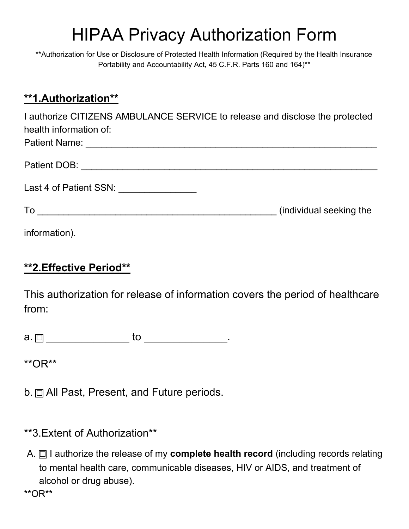## **HIPAA Privacy Authorization Form**

\*\*Authorization for Use or Disclosure of Protected Health Information (Required by the Health Insurance Portability and Accountability Act, 45 C.F.R. Parts 160 and 164)\*\*

## \*\*1.Authorization\*\*

I authorize CITIZENS AMBULANCE SERVICE to release and disclose the protected health information of: 

| Patient DOB:           |                         |
|------------------------|-------------------------|
| Last 4 of Patient SSN: |                         |
| To                     | (individual seeking the |

information).

## **\*\*2.Effective Period\*\***

This authorization for release of information covers the period of healthcare from:

\*\* $OR***$ 

b.  $\Box$  All Past, Present, and Future periods.

- \*\*3. Extent of Authorization\*\*
- A.  $\Box$  I authorize the release of my complete health record (including records relating to mental health care, communicable diseases, HIV or AIDS, and treatment of alcohol or drug abuse).

\*\* $OR***$